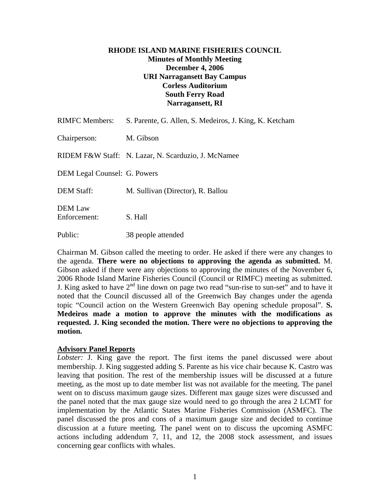## **RHODE ISLAND MARINE FISHERIES COUNCIL Minutes of Monthly Meeting December 4, 2006 URI Narragansett Bay Campus Corless Auditorium South Ferry Road Narragansett, RI**

| <b>RIMFC Members:</b>               | S. Parente, G. Allen, S. Medeiros, J. King, K. Ketcham |
|-------------------------------------|--------------------------------------------------------|
| Chairperson:                        | M. Gibson                                              |
|                                     | RIDEM F&W Staff: N. Lazar, N. Scarduzio, J. McNamee    |
| <b>DEM Legal Counsel: G. Powers</b> |                                                        |
| <b>DEM Staff:</b>                   | M. Sullivan (Director), R. Ballou                      |
| DEM Law<br>Enforcement:             | S. Hall                                                |
| Public:                             | 38 people attended                                     |

Chairman M. Gibson called the meeting to order. He asked if there were any changes to the agenda. **There were no objections to approving the agenda as submitted.** M. Gibson asked if there were any objections to approving the minutes of the November 6, 2006 Rhode Island Marine Fisheries Council (Council or RIMFC) meeting as submitted. J. King asked to have  $2<sup>nd</sup>$  line down on page two read "sun-rise to sun-set" and to have it noted that the Council discussed all of the Greenwich Bay changes under the agenda topic "Council action on the Western Greenwich Bay opening schedule proposal". **S. Medeiros made a motion to approve the minutes with the modifications as requested. J. King seconded the motion. There were no objections to approving the motion.** 

## **Advisory Panel Reports**

*Lobster:* J. King gave the report. The first items the panel discussed were about membership. J. King suggested adding S. Parente as his vice chair because K. Castro was leaving that position. The rest of the membership issues will be discussed at a future meeting, as the most up to date member list was not available for the meeting. The panel went on to discuss maximum gauge sizes. Different max gauge sizes were discussed and the panel noted that the max gauge size would need to go through the area 2 LCMT for implementation by the Atlantic States Marine Fisheries Commission (ASMFC). The panel discussed the pros and cons of a maximum gauge size and decided to continue discussion at a future meeting. The panel went on to discuss the upcoming ASMFC actions including addendum 7, 11, and 12, the 2008 stock assessment, and issues concerning gear conflicts with whales.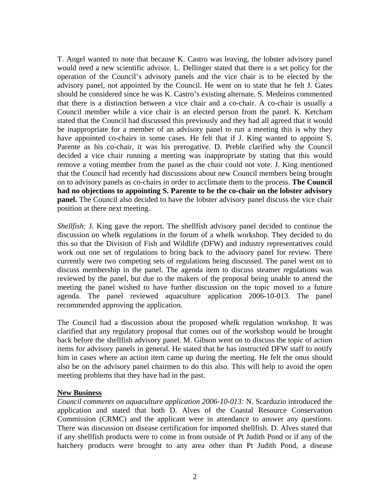T. Angel wanted to note that because K. Castro was leaving, the lobster advisory panel would need a new scientific advisor. L. Dellinger stated that there is a set policy for the operation of the Council's advisory panels and the vice chair is to be elected by the advisory panel, not appointed by the Council. He went on to state that he felt J. Gates should be considered since he was K. Castro's existing alternate. S. Medeiros commented that there is a distinction between a vice chair and a co-chair. A co-chair is usually a Council member while a vice chair is an elected person from the panel. K. Ketcham stated that the Council had discussed this previously and they had all agreed that it would be inappropriate for a member of an advisory panel to run a meeting this is why they have appointed co-chairs in some cases. He felt that if J. King wanted to appoint S. Parente as his co-chair, it was his prerogative. D. Preble clarified why the Council decided a vice chair running a meeting was inappropriate by stating that this would remove a voting member from the panel as the chair could not vote. J. King mentioned that the Council had recently had discussions about new Council members being brought on to advisory panels as co-chairs in order to acclimate them to the process. **The Council had no objections to appointing S. Parente to be the co-chair on the lobster advisory panel.** The Council also decided to have the lobster advisory panel discuss the vice chair position at there next meeting.

*Shellfish:* J. King gave the report. The shellfish advisory panel decided to continue the discussion on whelk regulations in the forum of a whelk workshop. They decided to do this so that the Division of Fish and Wildlife (DFW) and industry representatives could work out one set of regulations to bring back to the advisory panel for review. There currently were two competing sets of regulations being discussed. The panel went on to discuss membership in the panel. The agenda item to discuss steamer regulations was reviewed by the panel, but due to the makers of the proposal being unable to attend the meeting the panel wished to have further discussion on the topic moved to a future agenda. The panel reviewed aquaculture application 2006-10-013. The panel recommended approving the application.

The Council had a discussion about the proposed whelk regulation workshop. It was clarified that any regulatory proposal that comes out of the workshop would be brought back before the shellfish advisory panel. M. Gibson went on to discuss the topic of action items for advisory panels in general. He stated that he has instructed DFW staff to notify him in cases where an action item came up during the meeting. He felt the onus should also be on the advisory panel chairmen to do this also. This will help to avoid the open meeting problems that they have had in the past.

## **New Business**

*Council comments on aquaculture application 2006-10-013:* N. Scarduzio introduced the application and stated that both D. Alves of the Coastal Resource Conservation Commission (CRMC) and the applicant were in attendance to answer any questions. There was discussion on disease certification for imported shellfish. D. Alves stated that if any shellfish products were to come in from outside of Pt Judith Pond or if any of the hatchery products were brought to any area other than Pt Judith Pond, a disease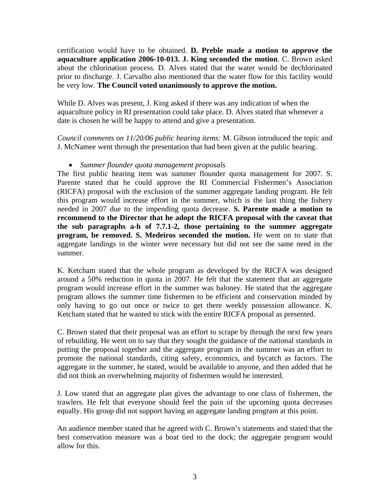certification would have to be obtained. **D. Preble made a motion to approve the aquaculture application 2006-10-013. J. King seconded the motion**. C. Brown asked about the chlorination process. D. Alves stated that the water would be dechlorinated prior to discharge. J. Carvalho also mentioned that the water flow for this facility would be very low. **The Council voted unanimously to approve the motion.**

While D. Alves was present, J. King asked if there was any indication of when the aquaculture policy in RI presentation could take place. D. Alves stated that whenever a date is chosen he will be happy to attend and give a presentation.

*Council comments on 11/20/06 public hearing items:* M. Gibson introduced the topic and J. McNamee went through the presentation that had been given at the public hearing.

# • *Summer flounder quota management proposals*

The first public hearing item was summer flounder quota management for 2007. S. Parente stated that he could approve the RI Commercial Fishermen's Association (RICFA) proposal with the exclusion of the summer aggregate landing program. He felt this program would increase effort in the summer, which is the last thing the fishery needed in 2007 due to the impending quota decrease. **S. Parente made a motion to recommend to the Director that he adopt the RICFA proposal with the caveat that the sub paragraphs a-h of 7.7.1-2, those pertaining to the summer aggregate program, be removed. S. Medeiros seconded the motion.** He went on to state that aggregate landings in the winter were necessary but did not see the same need in the summer.

K. Ketcham stated that the whole program as developed by the RICFA was designed around a 50% reduction in quota in 2007. He felt that the statement that an aggregate program would increase effort in the summer was baloney. He stated that the aggregate program allows the summer time fishermen to be efficient and conservation minded by only having to go out once or twice to get there weekly possession allowance. K. Ketcham stated that he wanted to stick with the entire RICFA proposal as presented.

C. Brown stated that their proposal was an effort to scrape by through the next few years of rebuilding. He went on to say that they sought the guidance of the national standards in putting the proposal together and the aggregate program in the summer was an effort to promote the national standards, citing safety, economics, and bycatch as factors. The aggregate in the summer, he stated, would be available to anyone, and then added that he did not think an overwhelming majority of fishermen would be interested.

J. Low stated that an aggregate plan gives the advantage to one class of fishermen, the trawlers. He felt that everyone should feel the pain of the upcoming quota decreases equally. His group did not support having an aggregate landing program at this point.

An audience member stated that he agreed with C. Brown's statements and stated that the best conservation measure was a boat tied to the dock; the aggregate program would allow for this.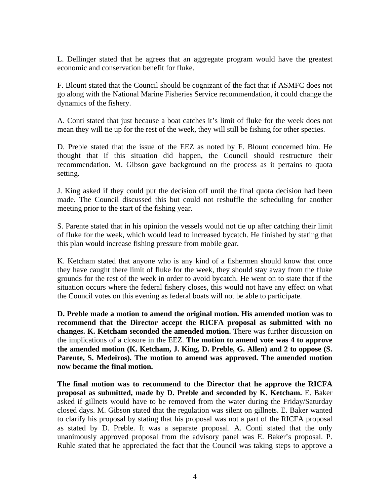L. Dellinger stated that he agrees that an aggregate program would have the greatest economic and conservation benefit for fluke.

F. Blount stated that the Council should be cognizant of the fact that if ASMFC does not go along with the National Marine Fisheries Service recommendation, it could change the dynamics of the fishery.

A. Conti stated that just because a boat catches it's limit of fluke for the week does not mean they will tie up for the rest of the week, they will still be fishing for other species.

D. Preble stated that the issue of the EEZ as noted by F. Blount concerned him. He thought that if this situation did happen, the Council should restructure their recommendation. M. Gibson gave background on the process as it pertains to quota setting.

J. King asked if they could put the decision off until the final quota decision had been made. The Council discussed this but could not reshuffle the scheduling for another meeting prior to the start of the fishing year.

S. Parente stated that in his opinion the vessels would not tie up after catching their limit of fluke for the week, which would lead to increased bycatch. He finished by stating that this plan would increase fishing pressure from mobile gear.

K. Ketcham stated that anyone who is any kind of a fishermen should know that once they have caught there limit of fluke for the week, they should stay away from the fluke grounds for the rest of the week in order to avoid bycatch. He went on to state that if the situation occurs where the federal fishery closes, this would not have any effect on what the Council votes on this evening as federal boats will not be able to participate.

**D. Preble made a motion to amend the original motion. His amended motion was to recommend that the Director accept the RICFA proposal as submitted with no changes. K. Ketcham seconded the amended motion.** There was further discussion on the implications of a closure in the EEZ. **The motion to amend vote was 4 to approve the amended motion (K. Ketcham, J. King, D. Preble, G. Allen) and 2 to oppose (S. Parente, S. Medeiros). The motion to amend was approved. The amended motion now became the final motion.** 

**The final motion was to recommend to the Director that he approve the RICFA proposal as submitted, made by D. Preble and seconded by K. Ketcham.** E. Baker asked if gillnets would have to be removed from the water during the Friday/Saturday closed days. M. Gibson stated that the regulation was silent on gillnets. E. Baker wanted to clarify his proposal by stating that his proposal was not a part of the RICFA proposal as stated by D. Preble. It was a separate proposal. A. Conti stated that the only unanimously approved proposal from the advisory panel was E. Baker's proposal. P. Ruhle stated that he appreciated the fact that the Council was taking steps to approve a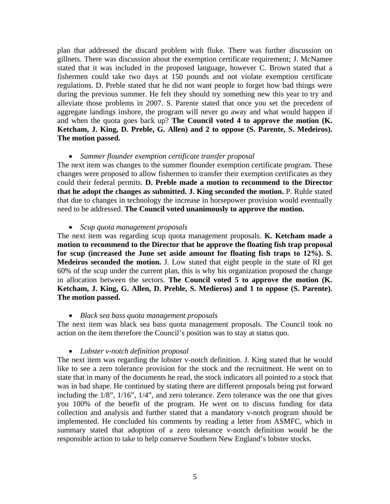plan that addressed the discard problem with fluke. There was further discussion on gillnets. There was discussion about the exemption certificate requirement; J. McNamee stated that it was included in the proposed language, however C. Brown stated that a fishermen could take two days at 150 pounds and not violate exemption certificate regulations. D. Preble stated that he did not want people to forget how bad things were during the previous summer. He felt they should try something new this year to try and alleviate those problems in 2007. S. Parente stated that once you set the precedent of aggregate landings inshore, the program will never go away and what would happen if and when the quota goes back up? **The Council voted 4 to approve the motion (K. Ketcham, J. King, D. Preble, G. Allen) and 2 to oppose (S. Parente, S. Medeiros). The motion passed.**

#### • *Summer flounder exemption certificate transfer proposal*

The next item was changes to the summer flounder exemption certificate program. These changes were proposed to allow fishermen to transfer their exemption certificates as they could their federal permits. **D. Preble made a motion to recommend to the Director that he adopt the changes as submitted. J. King seconded the motion.** P. Ruhle stated that due to changes in technology the increase in horsepower provision would eventually need to be addressed. **The Council voted unanimously to approve the motion.**

#### • *Scup quota management proposals*

The next item was regarding scup quota management proposals. **K. Ketcham made a motion to recommend to the Director that he approve the floating fish trap proposal for scup (increased the June set aside amount for floating fish traps to 12%). S. Medeiros seconded the motion.** J. Low stated that eight people in the state of RI get 60% of the scup under the current plan, this is why his organization proposed the change in allocation between the sectors. **The Council voted 5 to approve the motion (K. Ketcham, J. King, G. Allen, D. Preble, S. Medieros) and 1 to oppose (S. Parente). The motion passed.** 

#### • *Black sea bass quota management proposals*

The next item was black sea bass quota management proposals. The Council took no action on the item therefore the Council's position was to stay at status quo.

#### • *Lobster v-notch definition proposal*

The next item was regarding the lobster v-notch definition. J. King stated that he would like to see a zero tolerance provision for the stock and the recruitment. He went on to state that in many of the documents he read, the stock indicators all pointed to a stock that was in bad shape. He continued by stating there are different proposals being put forward including the 1/8", 1/16", 1/4", and zero tolerance. Zero tolerance was the one that gives you 100% of the benefit of the program. He went on to discuss funding for data collection and analysis and further stated that a mandatory v-notch program should be implemented. He concluded his comments by reading a letter from ASMFC, which in summary stated that adoption of a zero tolerance v-notch definition would be the responsible action to take to help conserve Southern New England's lobster stocks.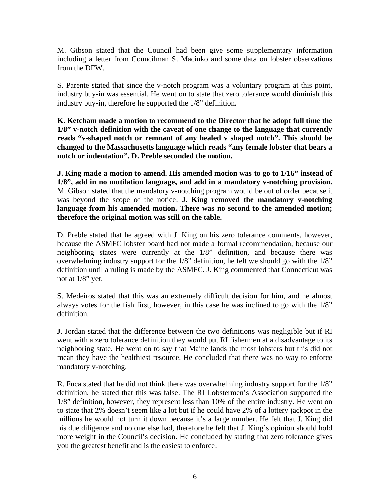M. Gibson stated that the Council had been give some supplementary information including a letter from Councilman S. Macinko and some data on lobster observations from the DFW.

S. Parente stated that since the v-notch program was a voluntary program at this point, industry buy-in was essential. He went on to state that zero tolerance would diminish this industry buy-in, therefore he supported the 1/8" definition.

**K. Ketcham made a motion to recommend to the Director that he adopt full time the 1/8" v-notch definition with the caveat of one change to the language that currently reads "v-shaped notch or remnant of any healed v shaped notch". This should be changed to the Massachusetts language which reads "any female lobster that bears a notch or indentation". D. Preble seconded the motion.** 

**J. King made a motion to amend. His amended motion was to go to 1/16" instead of 1/8", add in no mutilation language, and add in a mandatory v-notching provision.**  M. Gibson stated that the mandatory v-notching program would be out of order because it was beyond the scope of the notice. **J. King removed the mandatory v-notching language from his amended motion. There was no second to the amended motion; therefore the original motion was still on the table.**

D. Preble stated that he agreed with J. King on his zero tolerance comments, however, because the ASMFC lobster board had not made a formal recommendation, because our neighboring states were currently at the 1/8" definition, and because there was overwhelming industry support for the 1/8" definition, he felt we should go with the 1/8" definition until a ruling is made by the ASMFC. J. King commented that Connecticut was not at 1/8" yet.

S. Medeiros stated that this was an extremely difficult decision for him, and he almost always votes for the fish first, however, in this case he was inclined to go with the 1/8" definition.

J. Jordan stated that the difference between the two definitions was negligible but if RI went with a zero tolerance definition they would put RI fishermen at a disadvantage to its neighboring state. He went on to say that Maine lands the most lobsters but this did not mean they have the healthiest resource. He concluded that there was no way to enforce mandatory v-notching.

R. Fuca stated that he did not think there was overwhelming industry support for the  $1/8$ " definition, he stated that this was false. The RI Lobstermen's Association supported the 1/8" definition, however, they represent less than 10% of the entire industry. He went on to state that 2% doesn't seem like a lot but if he could have 2% of a lottery jackpot in the millions he would not turn it down because it's a large number. He felt that J. King did his due diligence and no one else had, therefore he felt that J. King's opinion should hold more weight in the Council's decision. He concluded by stating that zero tolerance gives you the greatest benefit and is the easiest to enforce.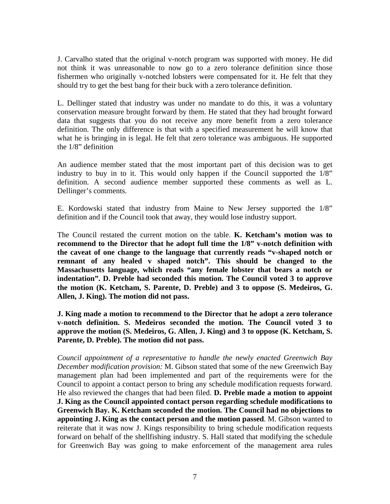J. Carvalho stated that the original v-notch program was supported with money. He did not think it was unreasonable to now go to a zero tolerance definition since those fishermen who originally v-notched lobsters were compensated for it. He felt that they should try to get the best bang for their buck with a zero tolerance definition.

L. Dellinger stated that industry was under no mandate to do this, it was a voluntary conservation measure brought forward by them. He stated that they had brought forward data that suggests that you do not receive any more benefit from a zero tolerance definition. The only difference is that with a specified measurement he will know that what he is bringing in is legal. He felt that zero tolerance was ambiguous. He supported the 1/8" definition

An audience member stated that the most important part of this decision was to get industry to buy in to it. This would only happen if the Council supported the 1/8" definition. A second audience member supported these comments as well as L. Dellinger's comments.

E. Kordowski stated that industry from Maine to New Jersey supported the 1/8" definition and if the Council took that away, they would lose industry support.

The Council restated the current motion on the table. **K. Ketcham's motion was to recommend to the Director that he adopt full time the 1/8" v-notch definition with the caveat of one change to the language that currently reads "v-shaped notch or remnant of any healed v shaped notch". This should be changed to the Massachusetts language, which reads "any female lobster that bears a notch or indentation". D. Preble had seconded this motion. The Council voted 3 to approve the motion (K. Ketcham, S. Parente, D. Preble) and 3 to oppose (S. Medeiros, G. Allen, J. King). The motion did not pass.** 

**J. King made a motion to recommend to the Director that he adopt a zero tolerance v-notch definition. S. Medeiros seconded the motion. The Council voted 3 to approve the motion (S. Medeiros, G. Allen, J. King) and 3 to oppose (K. Ketcham, S. Parente, D. Preble). The motion did not pass.**

*Council appointment of a representative to handle the newly enacted Greenwich Bay December modification provision:* M. Gibson stated that some of the new Greenwich Bay management plan had been implemented and part of the requirements were for the Council to appoint a contact person to bring any schedule modification requests forward. He also reviewed the changes that had been filed. **D. Preble made a motion to appoint J. King as the Council appointed contact person regarding schedule modifications to Greenwich Bay. K. Ketcham seconded the motion. The Council had no objections to appointing J. King as the contact person and the motion passed**. M. Gibson wanted to reiterate that it was now J. Kings responsibility to bring schedule modification requests forward on behalf of the shellfishing industry. S. Hall stated that modifying the schedule for Greenwich Bay was going to make enforcement of the management area rules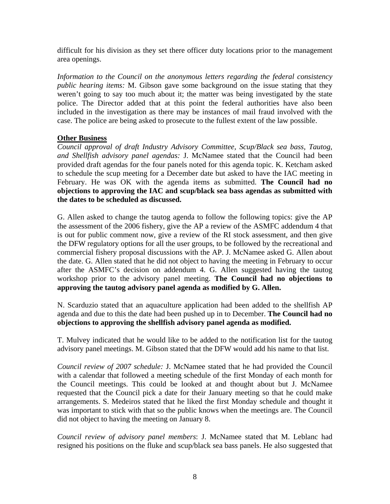difficult for his division as they set there officer duty locations prior to the management area openings.

*Information to the Council on the anonymous letters regarding the federal consistency public hearing items:* M. Gibson gave some background on the issue stating that they weren't going to say too much about it; the matter was being investigated by the state police. The Director added that at this point the federal authorities have also been included in the investigation as there may be instances of mail fraud involved with the case. The police are being asked to prosecute to the fullest extent of the law possible.

# **Other Business**

*Council approval of draft Industry Advisory Committee, Scup/Black sea bass, Tautog, and Shellfish advisory panel agendas:* J. McNamee stated that the Council had been provided draft agendas for the four panels noted for this agenda topic. K. Ketcham asked to schedule the scup meeting for a December date but asked to have the IAC meeting in February. He was OK with the agenda items as submitted. **The Council had no objections to approving the IAC and scup/black sea bass agendas as submitted with the dates to be scheduled as discussed.**

G. Allen asked to change the tautog agenda to follow the following topics: give the AP the assessment of the 2006 fishery, give the AP a review of the ASMFC addendum 4 that is out for public comment now, give a review of the RI stock assessment, and then give the DFW regulatory options for all the user groups, to be followed by the recreational and commercial fishery proposal discussions with the AP. J. McNamee asked G. Allen about the date. G. Allen stated that he did not object to having the meeting in February to occur after the ASMFC's decision on addendum 4. G. Allen suggested having the tautog workshop prior to the advisory panel meeting. **The Council had no objections to approving the tautog advisory panel agenda as modified by G. Allen.**

N. Scarduzio stated that an aquaculture application had been added to the shellfish AP agenda and due to this the date had been pushed up in to December. **The Council had no objections to approving the shellfish advisory panel agenda as modified.**

T. Mulvey indicated that he would like to be added to the notification list for the tautog advisory panel meetings. M. Gibson stated that the DFW would add his name to that list.

*Council review of 2007 schedule:* J. McNamee stated that he had provided the Council with a calendar that followed a meeting schedule of the first Monday of each month for the Council meetings. This could be looked at and thought about but J. McNamee requested that the Council pick a date for their January meeting so that he could make arrangements. S. Medeiros stated that he liked the first Monday schedule and thought it was important to stick with that so the public knows when the meetings are. The Council did not object to having the meeting on January 8.

*Council review of advisory panel members*: J. McNamee stated that M. Leblanc had resigned his positions on the fluke and scup/black sea bass panels. He also suggested that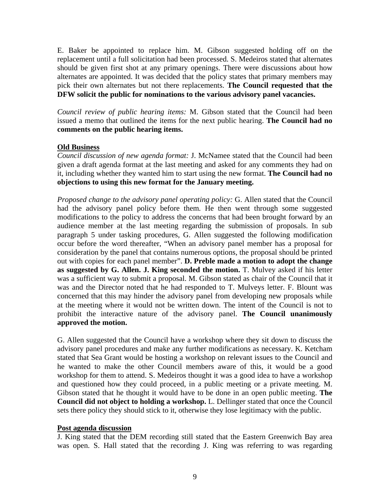E. Baker be appointed to replace him. M. Gibson suggested holding off on the replacement until a full solicitation had been processed. S. Medeiros stated that alternates should be given first shot at any primary openings. There were discussions about how alternates are appointed. It was decided that the policy states that primary members may pick their own alternates but not there replacements. **The Council requested that the DFW solicit the public for nominations to the various advisory panel vacancies.**

*Council review of public hearing items:* M. Gibson stated that the Council had been issued a memo that outlined the items for the next public hearing. **The Council had no comments on the public hearing items.**

## **Old Business**

*Council discussion of new agenda format:* J. McNamee stated that the Council had been given a draft agenda format at the last meeting and asked for any comments they had on it, including whether they wanted him to start using the new format. **The Council had no objections to using this new format for the January meeting.**

*Proposed change to the advisory panel operating policy:* G. Allen stated that the Council had the advisory panel policy before them. He then went through some suggested modifications to the policy to address the concerns that had been brought forward by an audience member at the last meeting regarding the submission of proposals. In sub paragraph 5 under tasking procedures, G. Allen suggested the following modification occur before the word thereafter, "When an advisory panel member has a proposal for consideration by the panel that contains numerous options, the proposal should be printed out with copies for each panel member". **D. Preble made a motion to adopt the change as suggested by G. Allen. J. King seconded the motion.** T. Mulvey asked if his letter was a sufficient way to submit a proposal. M. Gibson stated as chair of the Council that it was and the Director noted that he had responded to T. Mulveys letter. F. Blount was concerned that this may hinder the advisory panel from developing new proposals while at the meeting where it would not be written down. The intent of the Council is not to prohibit the interactive nature of the advisory panel. **The Council unanimously approved the motion.**

G. Allen suggested that the Council have a workshop where they sit down to discuss the advisory panel procedures and make any further modifications as necessary. K. Ketcham stated that Sea Grant would be hosting a workshop on relevant issues to the Council and he wanted to make the other Council members aware of this, it would be a good workshop for them to attend. S. Medeiros thought it was a good idea to have a workshop and questioned how they could proceed, in a public meeting or a private meeting. M. Gibson stated that he thought it would have to be done in an open public meeting. **The Council did not object to holding a workshop.** L. Dellinger stated that once the Council sets there policy they should stick to it, otherwise they lose legitimacy with the public.

## **Post agenda discussion**

J. King stated that the DEM recording still stated that the Eastern Greenwich Bay area was open. S. Hall stated that the recording J. King was referring to was regarding